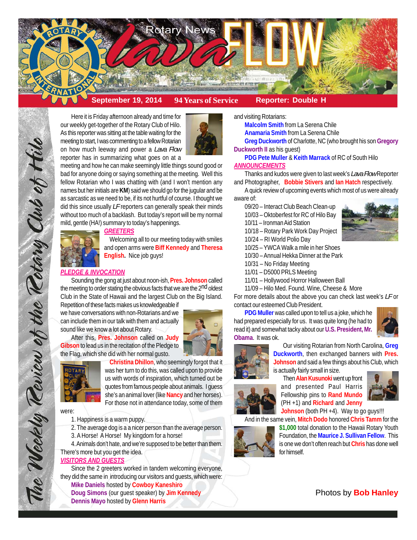

# **September 19, 2014 94 Years of Service Reporter: Double H**

Here it is Friday afternoon already and time for our weekly get-together of the Rotary Club of Hilo. As this reporter was sitting at the table waiting for the meeting to start, I was commenting to a fellow Rotarian on how much leeway and power a *Lava Flow* reporter has in summarizing what goes on at a



meeting and how he can make seemingly little things sound good or bad for anyone doing or saying something at the meeting. Well this fellow Rotarian who I was chatting with (and I won't mention any names but her initials are **KM**) said we should go for the jugular and be as sarcastic as we need to be, if its not hurtful of course. I thought we did this since usually *LF* reporters can generally speak their minds without too much of a backlash. But today's report will be my normal mild, gentle (HA!) summary to today's happenings.

#### *GREETERS*



Welcoming all to our meeting today with smiles and open arms were **Biff Kennedy** and **Theresa English.** Nice job guys!

## *PLEDGE & INVOCATION*

Sounding the gong at just about noon-ish, **Pres. Johnson** called the meeting to order stating the obvious facts that we are the 2<sup>nd</sup> oldest Club in the State of Hawaii and the largest Club on the Big Island.

Repetition of these facts makes us knowledgeable if we have conversations with non-Rotarians and we can include them in our talk with them and actually sound like we know a lot about Rotary.

After this, **Pres. Johnson** called on **Judy Gibson** to lead us in the recitation of the Pledge to the Flag, which she did with her normal gusto.





**Christina Dhillon**, who seemingly forgot that it was her turn to do this, was called upon to provide us with words of inspiration, which turned out be quotes from famous people about animals. I guess she's an animal lover (like **Nancy** and her horses). For those not in attendance today, some of them

were:

The Weekly Teview of the Tetary Club of Hilo

1. Happiness is a warm puppy.

2. The average dog is a a nicer person than the average person.

3. A Horse! A Horse! My kingdom for a horse!

4. Animals don't hate, and we're supposed to be better than them. There's more but you get the idea.

## *VISITORS AND GUESTS*

Since the 2 greeters worked in tandem welcoming everyone, they did the same in introducing our visitors and guests, which were: **Mike Daniels** hosted by **Cowboy Kaneshiro**

**Doug Simons** (our guest speaker) by **Jim Kennedy Dennis Mayo** hosted by **Glenn Harris**

and visiting Rotarians:

**Malcolm Smith** from La Serena Chile **Anamaria Smith** from La Serena Chile **Greg Duckworth** of Charlotte, NC (who brought his son **Gregory Duckworth II** as his guest)

**PDG Pete Muller** & **Keith Marrack** of RC of South Hilo *ANNOUNCEMENTS*

Thanks and kudos were given to last week's *Lava Flow* Reporter and Photographer, **Bobbie Stivers** and **Ian Hatch** respectively.

A quick review of upcoming events which most of us were already aware of:

- 09/20 Interact Club Beach Clean-up
- 10/03 Oktoberfest for RC of Hilo Bay
- 10/11 Ironman Aid Station
- 10/18 Rotary Park Work Day Project
- 10/24 RI World Polio Day
- 10/25 YWCA Walk a mile in her Shoes
- 10/30 Annual Hekka Dinner at the Park
- 10/31 No Friday Meeting
- 11/01 D5000 PRLS Meeting
- 11/01 Hollywood Horror Halloween Ball
- 11/09 Hilo Med. Found. Wine, Cheese & More

For more details about the above you can check last week's *LF* or contact our esteemed Club President.

**PDG Muller** was called upon to tell us a joke, which he had prepared especially for us. It was quite long (he had to read it) and somewhat tacky about our **U.S. President, Mr. Obama**. It was ok.





Our visiting Rotarian from North Carolina, **Greg Duckworth**, then exchanged banners with **Pres. Johnson** and said a few things about his Club, which is actually fairly small in size.

Then **Alan Kusunoki**went up front and presented Paul Harris Fellowship pins to **Rand Mundo** (PH +1) and **Richard** and **Jenny**



**Johnson** (both PH +4). Way to go guys!!! And in the same vein, **Mitch Dodo** honored **Chris Tamm** for the



**\$1,000** total donation to the Hawaii Rotary Youth Foundation, the **Maurice J. Sullivan Fellow**. This is one we don't often reach but **Chris** has done well for himself.

# Photos by **Bob Hanley**